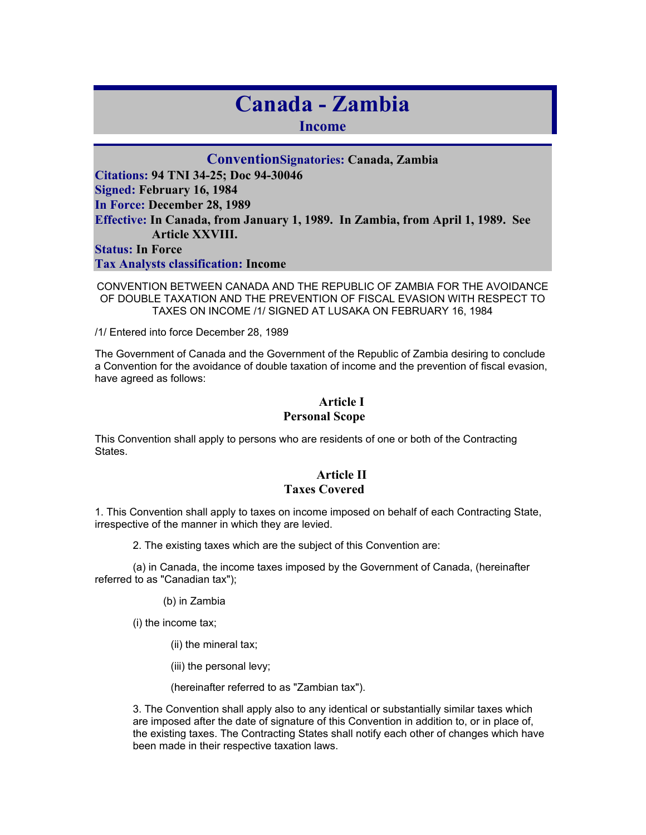# **Canada - Zambia**

**Income** 

#### **ConventionSignatories: Canada, Zambia**

**Citations: 94 TNI 34-25; Doc 94-30046 Signed: February 16, 1984 In Force: December 28, 1989 Effective: In Canada, from January 1, 1989. In Zambia, from April 1, 1989. See Article XXVIII. Status: In Force** 

**Tax Analysts classification: Income** 

CONVENTION BETWEEN CANADA AND THE REPUBLIC OF ZAMBIA FOR THE AVOIDANCE OF DOUBLE TAXATION AND THE PREVENTION OF FISCAL EVASION WITH RESPECT TO TAXES ON INCOME /1/ SIGNED AT LUSAKA ON FEBRUARY 16, 1984

/1/ Entered into force December 28, 1989

The Government of Canada and the Government of the Republic of Zambia desiring to conclude a Convention for the avoidance of double taxation of income and the prevention of fiscal evasion, have agreed as follows:

#### **Article I Personal Scope**

This Convention shall apply to persons who are residents of one or both of the Contracting States.

#### **Article II Taxes Covered**

1. This Convention shall apply to taxes on income imposed on behalf of each Contracting State, irrespective of the manner in which they are levied.

2. The existing taxes which are the subject of this Convention are:

(a) in Canada, the income taxes imposed by the Government of Canada, (hereinafter referred to as "Canadian tax");

(b) in Zambia

(i) the income tax;

(ii) the mineral tax;

(iii) the personal levy;

(hereinafter referred to as "Zambian tax").

3. The Convention shall apply also to any identical or substantially similar taxes which are imposed after the date of signature of this Convention in addition to, or in place of, the existing taxes. The Contracting States shall notify each other of changes which have been made in their respective taxation laws.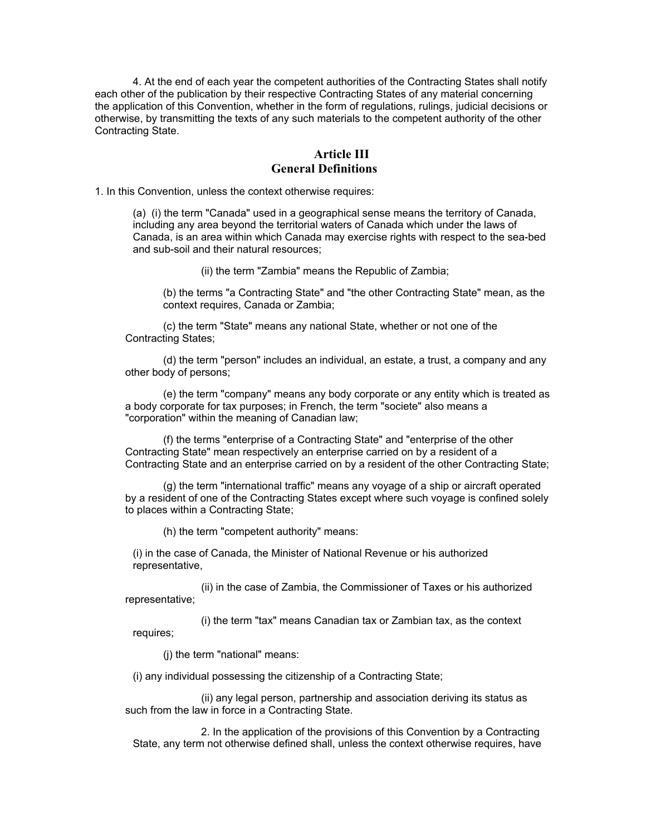4. At the end of each year the competent authorities of the Contracting States shall notify each other of the publication by their respective Contracting States of any material concerning the application of this Convention, whether in the form of regulations, rulings, judicial decisions or otherwise, by transmitting the texts of any such materials to the competent authority of the other Contracting State.

#### **Article III General Definitions**

1. In this Convention, unless the context otherwise requires:

(a) (i) the term "Canada" used in a geographical sense means the territory of Canada, including any area beyond the territorial waters of Canada which under the laws of Canada, is an area within which Canada may exercise rights with respect to the sea-bed and sub-soil and their natural resources;

(ii) the term "Zambia" means the Republic of Zambia;

(b) the terms "a Contracting State" and "the other Contracting State" mean, as the context requires, Canada or Zambia;

(c) the term "State" means any national State, whether or not one of the Contracting States;

(d) the term "person" includes an individual, an estate, a trust, a company and any other body of persons;

(e) the term "company" means any body corporate or any entity which is treated as a body corporate for tax purposes; in French, the term "societe" also means a "corporation" within the meaning of Canadian law;

(f) the terms "enterprise of a Contracting State" and "enterprise of the other Contracting State" mean respectively an enterprise carried on by a resident of a Contracting State and an enterprise carried on by a resident of the other Contracting State;

(g) the term "international traffic" means any voyage of a ship or aircraft operated by a resident of one of the Contracting States except where such voyage is confined solely to places within a Contracting State;

(h) the term "competent authority" means:

(i) in the case of Canada, the Minister of National Revenue or his authorized representative,

(ii) in the case of Zambia, the Commissioner of Taxes or his authorized representative;

(i) the term "tax" means Canadian tax or Zambian tax, as the context requires;

(j) the term "national" means:

(i) any individual possessing the citizenship of a Contracting State;

(ii) any legal person, partnership and association deriving its status as such from the law in force in a Contracting State.

2. In the application of the provisions of this Convention by a Contracting State, any term not otherwise defined shall, unless the context otherwise requires, have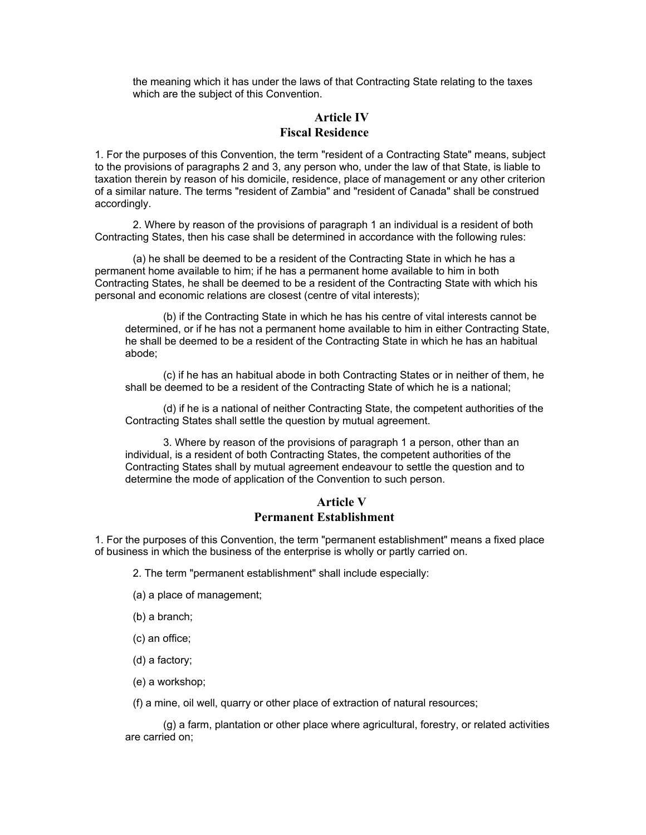the meaning which it has under the laws of that Contracting State relating to the taxes which are the subject of this Convention.

#### **Article IV Fiscal Residence**

1. For the purposes of this Convention, the term "resident of a Contracting State" means, subject to the provisions of paragraphs 2 and 3, any person who, under the law of that State, is liable to taxation therein by reason of his domicile, residence, place of management or any other criterion of a similar nature. The terms "resident of Zambia" and "resident of Canada" shall be construed accordingly.

2. Where by reason of the provisions of paragraph 1 an individual is a resident of both Contracting States, then his case shall be determined in accordance with the following rules:

(a) he shall be deemed to be a resident of the Contracting State in which he has a permanent home available to him; if he has a permanent home available to him in both Contracting States, he shall be deemed to be a resident of the Contracting State with which his personal and economic relations are closest (centre of vital interests);

(b) if the Contracting State in which he has his centre of vital interests cannot be determined, or if he has not a permanent home available to him in either Contracting State, he shall be deemed to be a resident of the Contracting State in which he has an habitual abode;

(c) if he has an habitual abode in both Contracting States or in neither of them, he shall be deemed to be a resident of the Contracting State of which he is a national;

(d) if he is a national of neither Contracting State, the competent authorities of the Contracting States shall settle the question by mutual agreement.

3. Where by reason of the provisions of paragraph 1 a person, other than an individual, is a resident of both Contracting States, the competent authorities of the Contracting States shall by mutual agreement endeavour to settle the question and to determine the mode of application of the Convention to such person.

#### **Article V Permanent Establishment**

1. For the purposes of this Convention, the term "permanent establishment" means a fixed place of business in which the business of the enterprise is wholly or partly carried on.

2. The term "permanent establishment" shall include especially:

- (a) a place of management;
- (b) a branch;
- (c) an office;
- (d) a factory;
- (e) a workshop;

(f) a mine, oil well, quarry or other place of extraction of natural resources;

(g) a farm, plantation or other place where agricultural, forestry, or related activities are carried on;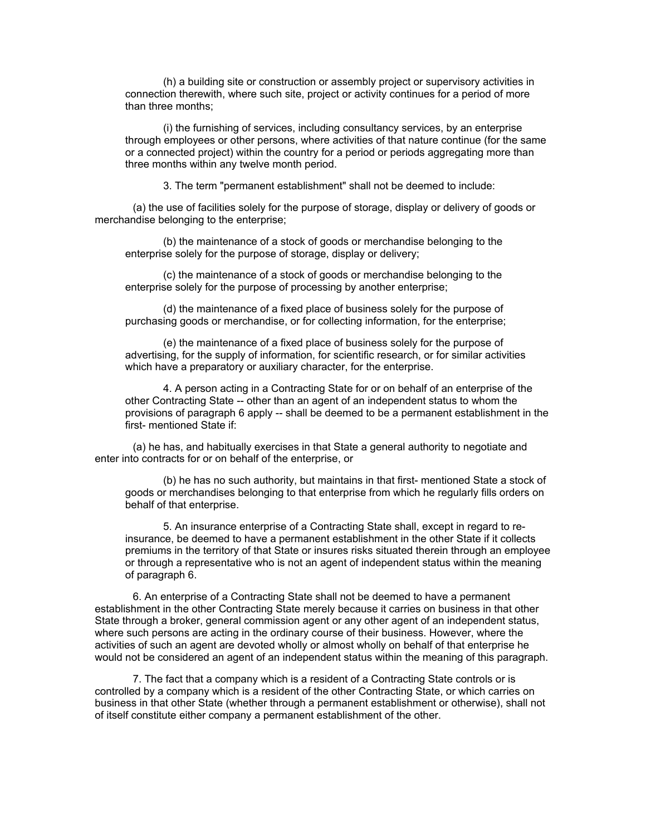(h) a building site or construction or assembly project or supervisory activities in connection therewith, where such site, project or activity continues for a period of more than three months;

(i) the furnishing of services, including consultancy services, by an enterprise through employees or other persons, where activities of that nature continue (for the same or a connected project) within the country for a period or periods aggregating more than three months within any twelve month period.

3. The term "permanent establishment" shall not be deemed to include:

(a) the use of facilities solely for the purpose of storage, display or delivery of goods or merchandise belonging to the enterprise;

(b) the maintenance of a stock of goods or merchandise belonging to the enterprise solely for the purpose of storage, display or delivery;

(c) the maintenance of a stock of goods or merchandise belonging to the enterprise solely for the purpose of processing by another enterprise;

(d) the maintenance of a fixed place of business solely for the purpose of purchasing goods or merchandise, or for collecting information, for the enterprise;

(e) the maintenance of a fixed place of business solely for the purpose of advertising, for the supply of information, for scientific research, or for similar activities which have a preparatory or auxiliary character, for the enterprise.

4. A person acting in a Contracting State for or on behalf of an enterprise of the other Contracting State -- other than an agent of an independent status to whom the provisions of paragraph 6 apply -- shall be deemed to be a permanent establishment in the first- mentioned State if:

(a) he has, and habitually exercises in that State a general authority to negotiate and enter into contracts for or on behalf of the enterprise, or

(b) he has no such authority, but maintains in that first- mentioned State a stock of goods or merchandises belonging to that enterprise from which he regularly fills orders on behalf of that enterprise.

5. An insurance enterprise of a Contracting State shall, except in regard to reinsurance, be deemed to have a permanent establishment in the other State if it collects premiums in the territory of that State or insures risks situated therein through an employee or through a representative who is not an agent of independent status within the meaning of paragraph 6.

6. An enterprise of a Contracting State shall not be deemed to have a permanent establishment in the other Contracting State merely because it carries on business in that other State through a broker, general commission agent or any other agent of an independent status, where such persons are acting in the ordinary course of their business. However, where the activities of such an agent are devoted wholly or almost wholly on behalf of that enterprise he would not be considered an agent of an independent status within the meaning of this paragraph.

7. The fact that a company which is a resident of a Contracting State controls or is controlled by a company which is a resident of the other Contracting State, or which carries on business in that other State (whether through a permanent establishment or otherwise), shall not of itself constitute either company a permanent establishment of the other.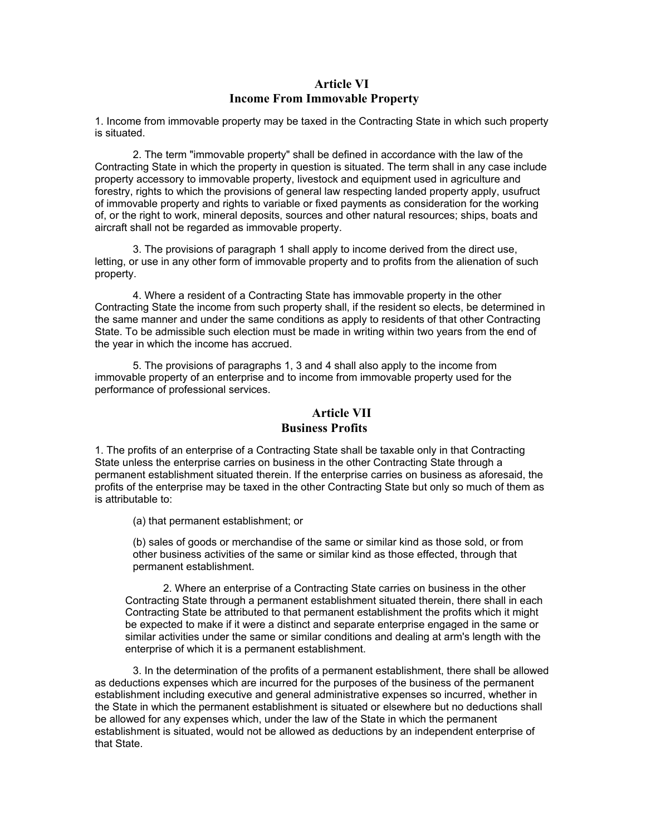### **Article VI Income From Immovable Property**

1. Income from immovable property may be taxed in the Contracting State in which such property is situated.

2. The term "immovable property" shall be defined in accordance with the law of the Contracting State in which the property in question is situated. The term shall in any case include property accessory to immovable property, livestock and equipment used in agriculture and forestry, rights to which the provisions of general law respecting landed property apply, usufruct of immovable property and rights to variable or fixed payments as consideration for the working of, or the right to work, mineral deposits, sources and other natural resources; ships, boats and aircraft shall not be regarded as immovable property.

3. The provisions of paragraph 1 shall apply to income derived from the direct use, letting, or use in any other form of immovable property and to profits from the alienation of such property.

4. Where a resident of a Contracting State has immovable property in the other Contracting State the income from such property shall, if the resident so elects, be determined in the same manner and under the same conditions as apply to residents of that other Contracting State. To be admissible such election must be made in writing within two years from the end of the year in which the income has accrued.

5. The provisions of paragraphs 1, 3 and 4 shall also apply to the income from immovable property of an enterprise and to income from immovable property used for the performance of professional services.

# **Article VII Business Profits**

1. The profits of an enterprise of a Contracting State shall be taxable only in that Contracting State unless the enterprise carries on business in the other Contracting State through a permanent establishment situated therein. If the enterprise carries on business as aforesaid, the profits of the enterprise may be taxed in the other Contracting State but only so much of them as is attributable to:

(a) that permanent establishment; or

(b) sales of goods or merchandise of the same or similar kind as those sold, or from other business activities of the same or similar kind as those effected, through that permanent establishment.

2. Where an enterprise of a Contracting State carries on business in the other Contracting State through a permanent establishment situated therein, there shall in each Contracting State be attributed to that permanent establishment the profits which it might be expected to make if it were a distinct and separate enterprise engaged in the same or similar activities under the same or similar conditions and dealing at arm's length with the enterprise of which it is a permanent establishment.

3. In the determination of the profits of a permanent establishment, there shall be allowed as deductions expenses which are incurred for the purposes of the business of the permanent establishment including executive and general administrative expenses so incurred, whether in the State in which the permanent establishment is situated or elsewhere but no deductions shall be allowed for any expenses which, under the law of the State in which the permanent establishment is situated, would not be allowed as deductions by an independent enterprise of that State.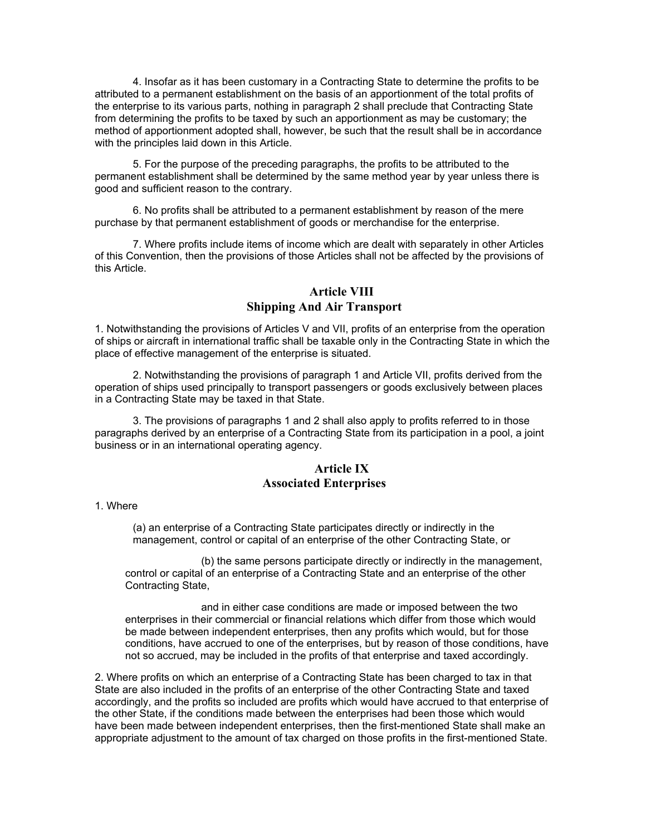4. Insofar as it has been customary in a Contracting State to determine the profits to be attributed to a permanent establishment on the basis of an apportionment of the total profits of the enterprise to its various parts, nothing in paragraph 2 shall preclude that Contracting State from determining the profits to be taxed by such an apportionment as may be customary; the method of apportionment adopted shall, however, be such that the result shall be in accordance with the principles laid down in this Article.

5. For the purpose of the preceding paragraphs, the profits to be attributed to the permanent establishment shall be determined by the same method year by year unless there is good and sufficient reason to the contrary.

6. No profits shall be attributed to a permanent establishment by reason of the mere purchase by that permanent establishment of goods or merchandise for the enterprise.

7. Where profits include items of income which are dealt with separately in other Articles of this Convention, then the provisions of those Articles shall not be affected by the provisions of this Article.

# **Article VIII Shipping And Air Transport**

1. Notwithstanding the provisions of Articles V and VII, profits of an enterprise from the operation of ships or aircraft in international traffic shall be taxable only in the Contracting State in which the place of effective management of the enterprise is situated.

2. Notwithstanding the provisions of paragraph 1 and Article VII, profits derived from the operation of ships used principally to transport passengers or goods exclusively between places in a Contracting State may be taxed in that State.

3. The provisions of paragraphs 1 and 2 shall also apply to profits referred to in those paragraphs derived by an enterprise of a Contracting State from its participation in a pool, a joint business or in an international operating agency.

#### **Article IX Associated Enterprises**

1. Where

(a) an enterprise of a Contracting State participates directly or indirectly in the management, control or capital of an enterprise of the other Contracting State, or

(b) the same persons participate directly or indirectly in the management, control or capital of an enterprise of a Contracting State and an enterprise of the other Contracting State,

and in either case conditions are made or imposed between the two enterprises in their commercial or financial relations which differ from those which would be made between independent enterprises, then any profits which would, but for those conditions, have accrued to one of the enterprises, but by reason of those conditions, have not so accrued, may be included in the profits of that enterprise and taxed accordingly.

2. Where profits on which an enterprise of a Contracting State has been charged to tax in that State are also included in the profits of an enterprise of the other Contracting State and taxed accordingly, and the profits so included are profits which would have accrued to that enterprise of the other State, if the conditions made between the enterprises had been those which would have been made between independent enterprises, then the first-mentioned State shall make an appropriate adjustment to the amount of tax charged on those profits in the first-mentioned State.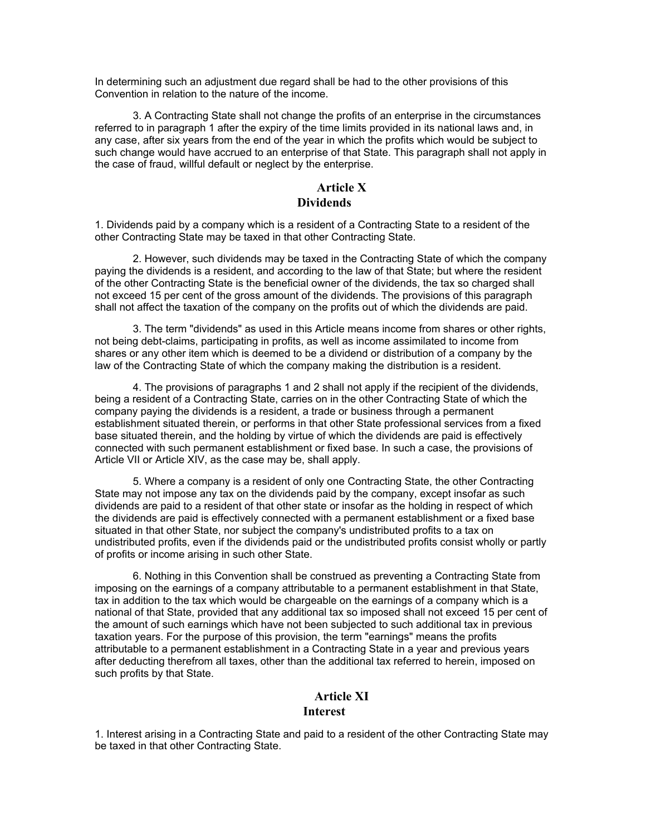In determining such an adjustment due regard shall be had to the other provisions of this Convention in relation to the nature of the income.

3. A Contracting State shall not change the profits of an enterprise in the circumstances referred to in paragraph 1 after the expiry of the time limits provided in its national laws and, in any case, after six years from the end of the year in which the profits which would be subject to such change would have accrued to an enterprise of that State. This paragraph shall not apply in the case of fraud, willful default or neglect by the enterprise.

### **Article X Dividends**

1. Dividends paid by a company which is a resident of a Contracting State to a resident of the other Contracting State may be taxed in that other Contracting State.

2. However, such dividends may be taxed in the Contracting State of which the company paying the dividends is a resident, and according to the law of that State; but where the resident of the other Contracting State is the beneficial owner of the dividends, the tax so charged shall not exceed 15 per cent of the gross amount of the dividends. The provisions of this paragraph shall not affect the taxation of the company on the profits out of which the dividends are paid.

3. The term "dividends" as used in this Article means income from shares or other rights, not being debt-claims, participating in profits, as well as income assimilated to income from shares or any other item which is deemed to be a dividend or distribution of a company by the law of the Contracting State of which the company making the distribution is a resident.

4. The provisions of paragraphs 1 and 2 shall not apply if the recipient of the dividends, being a resident of a Contracting State, carries on in the other Contracting State of which the company paying the dividends is a resident, a trade or business through a permanent establishment situated therein, or performs in that other State professional services from a fixed base situated therein, and the holding by virtue of which the dividends are paid is effectively connected with such permanent establishment or fixed base. In such a case, the provisions of Article VII or Article XIV, as the case may be, shall apply.

5. Where a company is a resident of only one Contracting State, the other Contracting State may not impose any tax on the dividends paid by the company, except insofar as such dividends are paid to a resident of that other state or insofar as the holding in respect of which the dividends are paid is effectively connected with a permanent establishment or a fixed base situated in that other State, nor subject the company's undistributed profits to a tax on undistributed profits, even if the dividends paid or the undistributed profits consist wholly or partly of profits or income arising in such other State.

6. Nothing in this Convention shall be construed as preventing a Contracting State from imposing on the earnings of a company attributable to a permanent establishment in that State, tax in addition to the tax which would be chargeable on the earnings of a company which is a national of that State, provided that any additional tax so imposed shall not exceed 15 per cent of the amount of such earnings which have not been subjected to such additional tax in previous taxation years. For the purpose of this provision, the term "earnings" means the profits attributable to a permanent establishment in a Contracting State in a year and previous years after deducting therefrom all taxes, other than the additional tax referred to herein, imposed on such profits by that State.

#### **Article XI Interest**

1. Interest arising in a Contracting State and paid to a resident of the other Contracting State may be taxed in that other Contracting State.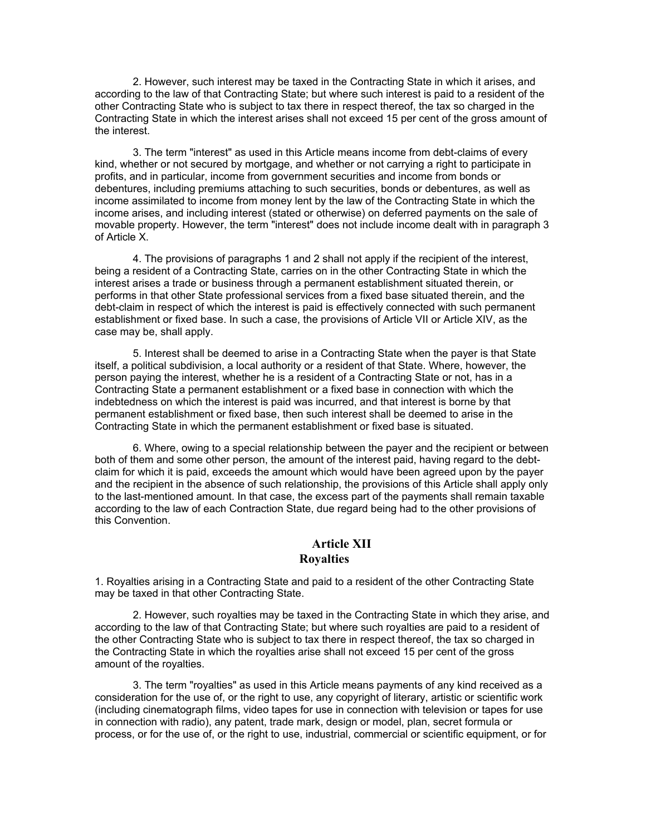2. However, such interest may be taxed in the Contracting State in which it arises, and according to the law of that Contracting State; but where such interest is paid to a resident of the other Contracting State who is subject to tax there in respect thereof, the tax so charged in the Contracting State in which the interest arises shall not exceed 15 per cent of the gross amount of the interest.

3. The term "interest" as used in this Article means income from debt-claims of every kind, whether or not secured by mortgage, and whether or not carrying a right to participate in profits, and in particular, income from government securities and income from bonds or debentures, including premiums attaching to such securities, bonds or debentures, as well as income assimilated to income from money lent by the law of the Contracting State in which the income arises, and including interest (stated or otherwise) on deferred payments on the sale of movable property. However, the term "interest" does not include income dealt with in paragraph 3 of Article X.

4. The provisions of paragraphs 1 and 2 shall not apply if the recipient of the interest, being a resident of a Contracting State, carries on in the other Contracting State in which the interest arises a trade or business through a permanent establishment situated therein, or performs in that other State professional services from a fixed base situated therein, and the debt-claim in respect of which the interest is paid is effectively connected with such permanent establishment or fixed base. In such a case, the provisions of Article VII or Article XIV, as the case may be, shall apply.

5. Interest shall be deemed to arise in a Contracting State when the payer is that State itself, a political subdivision, a local authority or a resident of that State. Where, however, the person paying the interest, whether he is a resident of a Contracting State or not, has in a Contracting State a permanent establishment or a fixed base in connection with which the indebtedness on which the interest is paid was incurred, and that interest is borne by that permanent establishment or fixed base, then such interest shall be deemed to arise in the Contracting State in which the permanent establishment or fixed base is situated.

6. Where, owing to a special relationship between the payer and the recipient or between both of them and some other person, the amount of the interest paid, having regard to the debtclaim for which it is paid, exceeds the amount which would have been agreed upon by the payer and the recipient in the absence of such relationship, the provisions of this Article shall apply only to the last-mentioned amount. In that case, the excess part of the payments shall remain taxable according to the law of each Contraction State, due regard being had to the other provisions of this Convention.

#### **Article XII Royalties**

1. Royalties arising in a Contracting State and paid to a resident of the other Contracting State may be taxed in that other Contracting State.

2. However, such royalties may be taxed in the Contracting State in which they arise, and according to the law of that Contracting State; but where such royalties are paid to a resident of the other Contracting State who is subject to tax there in respect thereof, the tax so charged in the Contracting State in which the royalties arise shall not exceed 15 per cent of the gross amount of the royalties.

3. The term "royalties" as used in this Article means payments of any kind received as a consideration for the use of, or the right to use, any copyright of literary, artistic or scientific work (including cinematograph films, video tapes for use in connection with television or tapes for use in connection with radio), any patent, trade mark, design or model, plan, secret formula or process, or for the use of, or the right to use, industrial, commercial or scientific equipment, or for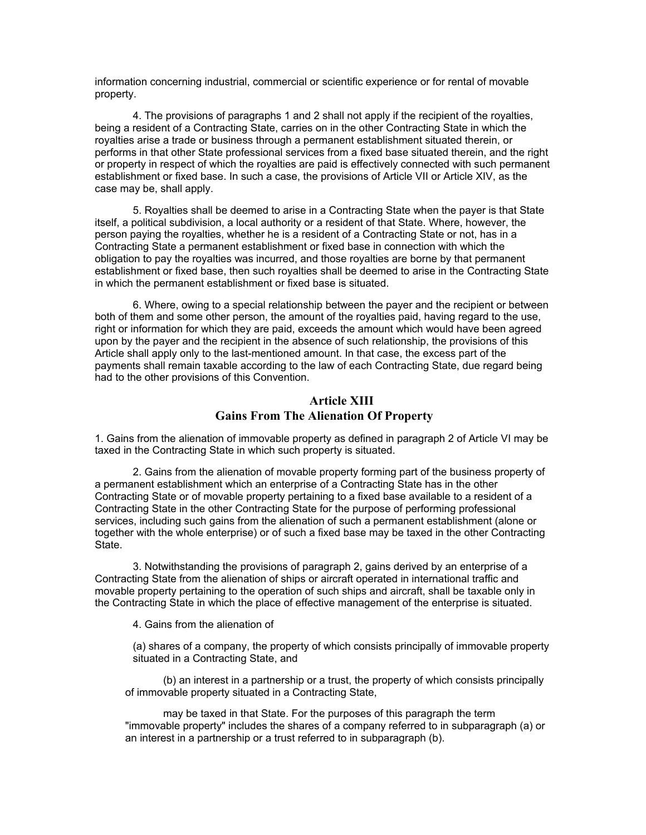information concerning industrial, commercial or scientific experience or for rental of movable property.

4. The provisions of paragraphs 1 and 2 shall not apply if the recipient of the royalties, being a resident of a Contracting State, carries on in the other Contracting State in which the royalties arise a trade or business through a permanent establishment situated therein, or performs in that other State professional services from a fixed base situated therein, and the right or property in respect of which the royalties are paid is effectively connected with such permanent establishment or fixed base. In such a case, the provisions of Article VII or Article XIV, as the case may be, shall apply.

5. Royalties shall be deemed to arise in a Contracting State when the payer is that State itself, a political subdivision, a local authority or a resident of that State. Where, however, the person paying the royalties, whether he is a resident of a Contracting State or not, has in a Contracting State a permanent establishment or fixed base in connection with which the obligation to pay the royalties was incurred, and those royalties are borne by that permanent establishment or fixed base, then such royalties shall be deemed to arise in the Contracting State in which the permanent establishment or fixed base is situated.

6. Where, owing to a special relationship between the payer and the recipient or between both of them and some other person, the amount of the royalties paid, having regard to the use, right or information for which they are paid, exceeds the amount which would have been agreed upon by the payer and the recipient in the absence of such relationship, the provisions of this Article shall apply only to the last-mentioned amount. In that case, the excess part of the payments shall remain taxable according to the law of each Contracting State, due regard being had to the other provisions of this Convention.

#### **Article XIII Gains From The Alienation Of Property**

1. Gains from the alienation of immovable property as defined in paragraph 2 of Article VI may be taxed in the Contracting State in which such property is situated.

2. Gains from the alienation of movable property forming part of the business property of a permanent establishment which an enterprise of a Contracting State has in the other Contracting State or of movable property pertaining to a fixed base available to a resident of a Contracting State in the other Contracting State for the purpose of performing professional services, including such gains from the alienation of such a permanent establishment (alone or together with the whole enterprise) or of such a fixed base may be taxed in the other Contracting State.

3. Notwithstanding the provisions of paragraph 2, gains derived by an enterprise of a Contracting State from the alienation of ships or aircraft operated in international traffic and movable property pertaining to the operation of such ships and aircraft, shall be taxable only in the Contracting State in which the place of effective management of the enterprise is situated.

4. Gains from the alienation of

(a) shares of a company, the property of which consists principally of immovable property situated in a Contracting State, and

(b) an interest in a partnership or a trust, the property of which consists principally of immovable property situated in a Contracting State,

may be taxed in that State. For the purposes of this paragraph the term "immovable property" includes the shares of a company referred to in subparagraph (a) or an interest in a partnership or a trust referred to in subparagraph (b).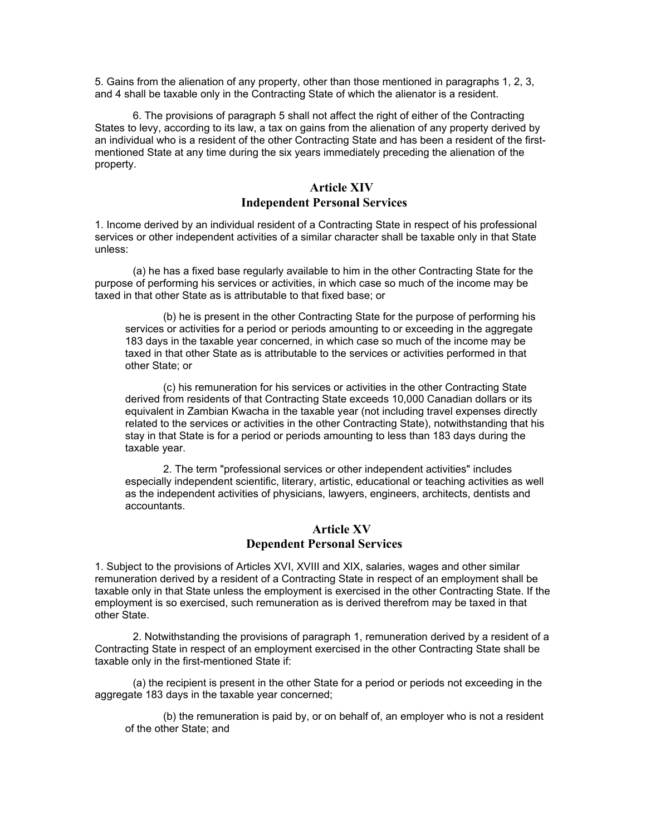5. Gains from the alienation of any property, other than those mentioned in paragraphs 1, 2, 3, and 4 shall be taxable only in the Contracting State of which the alienator is a resident.

6. The provisions of paragraph 5 shall not affect the right of either of the Contracting States to levy, according to its law, a tax on gains from the alienation of any property derived by an individual who is a resident of the other Contracting State and has been a resident of the firstmentioned State at any time during the six years immediately preceding the alienation of the property.

# **Article XIV**

# **Independent Personal Services**

1. Income derived by an individual resident of a Contracting State in respect of his professional services or other independent activities of a similar character shall be taxable only in that State unless:

(a) he has a fixed base regularly available to him in the other Contracting State for the purpose of performing his services or activities, in which case so much of the income may be taxed in that other State as is attributable to that fixed base; or

(b) he is present in the other Contracting State for the purpose of performing his services or activities for a period or periods amounting to or exceeding in the aggregate 183 days in the taxable year concerned, in which case so much of the income may be taxed in that other State as is attributable to the services or activities performed in that other State; or

(c) his remuneration for his services or activities in the other Contracting State derived from residents of that Contracting State exceeds 10,000 Canadian dollars or its equivalent in Zambian Kwacha in the taxable year (not including travel expenses directly related to the services or activities in the other Contracting State), notwithstanding that his stay in that State is for a period or periods amounting to less than 183 days during the taxable year.

2. The term "professional services or other independent activities" includes especially independent scientific, literary, artistic, educational or teaching activities as well as the independent activities of physicians, lawyers, engineers, architects, dentists and accountants.

#### **Article XV Dependent Personal Services**

1. Subject to the provisions of Articles XVI, XVIII and XIX, salaries, wages and other similar remuneration derived by a resident of a Contracting State in respect of an employment shall be taxable only in that State unless the employment is exercised in the other Contracting State. If the employment is so exercised, such remuneration as is derived therefrom may be taxed in that other State.

2. Notwithstanding the provisions of paragraph 1, remuneration derived by a resident of a Contracting State in respect of an employment exercised in the other Contracting State shall be taxable only in the first-mentioned State if:

(a) the recipient is present in the other State for a period or periods not exceeding in the aggregate 183 days in the taxable year concerned;

(b) the remuneration is paid by, or on behalf of, an employer who is not a resident of the other State; and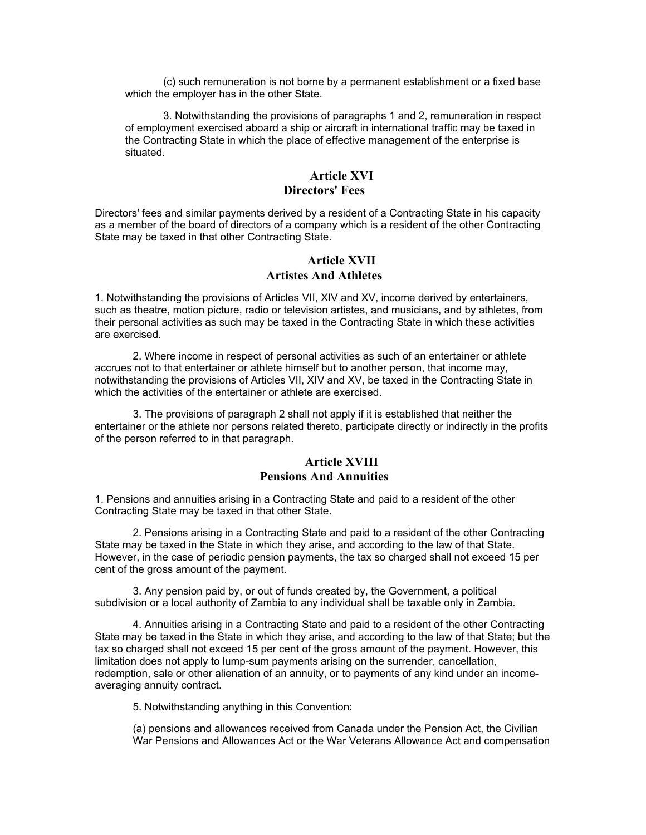(c) such remuneration is not borne by a permanent establishment or a fixed base which the employer has in the other State.

3. Notwithstanding the provisions of paragraphs 1 and 2, remuneration in respect of employment exercised aboard a ship or aircraft in international traffic may be taxed in the Contracting State in which the place of effective management of the enterprise is situated.

#### **Article XVI Directors' Fees**

Directors' fees and similar payments derived by a resident of a Contracting State in his capacity as a member of the board of directors of a company which is a resident of the other Contracting State may be taxed in that other Contracting State.

### **Article XVII Artistes And Athletes**

1. Notwithstanding the provisions of Articles VII, XIV and XV, income derived by entertainers, such as theatre, motion picture, radio or television artistes, and musicians, and by athletes, from their personal activities as such may be taxed in the Contracting State in which these activities are exercised.

2. Where income in respect of personal activities as such of an entertainer or athlete accrues not to that entertainer or athlete himself but to another person, that income may, notwithstanding the provisions of Articles VII, XIV and XV, be taxed in the Contracting State in which the activities of the entertainer or athlete are exercised.

3. The provisions of paragraph 2 shall not apply if it is established that neither the entertainer or the athlete nor persons related thereto, participate directly or indirectly in the profits of the person referred to in that paragraph.

# **Article XVIII Pensions And Annuities**

1. Pensions and annuities arising in a Contracting State and paid to a resident of the other Contracting State may be taxed in that other State.

2. Pensions arising in a Contracting State and paid to a resident of the other Contracting State may be taxed in the State in which they arise, and according to the law of that State. However, in the case of periodic pension payments, the tax so charged shall not exceed 15 per cent of the gross amount of the payment.

3. Any pension paid by, or out of funds created by, the Government, a political subdivision or a local authority of Zambia to any individual shall be taxable only in Zambia.

4. Annuities arising in a Contracting State and paid to a resident of the other Contracting State may be taxed in the State in which they arise, and according to the law of that State; but the tax so charged shall not exceed 15 per cent of the gross amount of the payment. However, this limitation does not apply to lump-sum payments arising on the surrender, cancellation, redemption, sale or other alienation of an annuity, or to payments of any kind under an incomeaveraging annuity contract.

5. Notwithstanding anything in this Convention:

(a) pensions and allowances received from Canada under the Pension Act, the Civilian War Pensions and Allowances Act or the War Veterans Allowance Act and compensation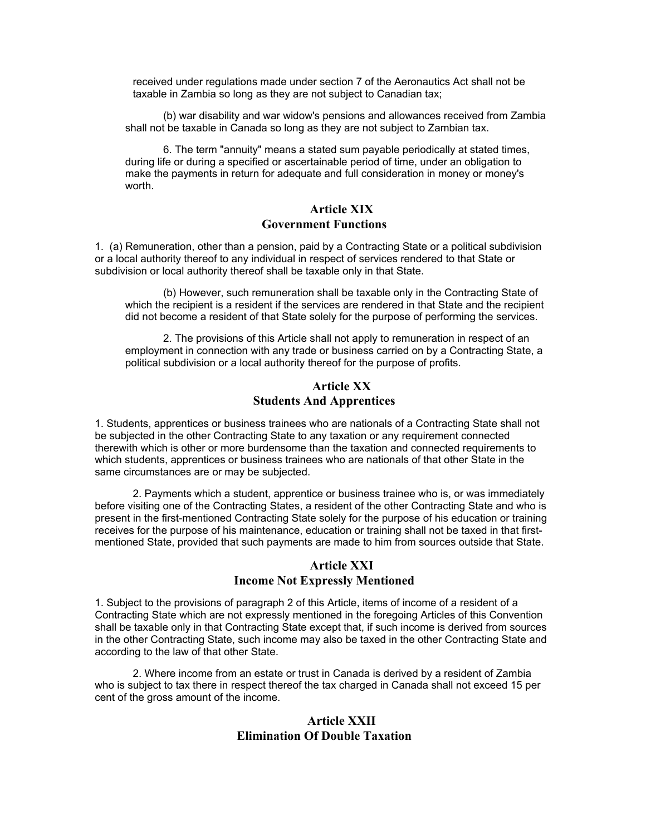received under regulations made under section 7 of the Aeronautics Act shall not be taxable in Zambia so long as they are not subject to Canadian tax;

(b) war disability and war widow's pensions and allowances received from Zambia shall not be taxable in Canada so long as they are not subject to Zambian tax.

6. The term "annuity" means a stated sum payable periodically at stated times, during life or during a specified or ascertainable period of time, under an obligation to make the payments in return for adequate and full consideration in money or money's worth.

#### **Article XIX Government Functions**

1. (a) Remuneration, other than a pension, paid by a Contracting State or a political subdivision or a local authority thereof to any individual in respect of services rendered to that State or subdivision or local authority thereof shall be taxable only in that State.

(b) However, such remuneration shall be taxable only in the Contracting State of which the recipient is a resident if the services are rendered in that State and the recipient did not become a resident of that State solely for the purpose of performing the services.

2. The provisions of this Article shall not apply to remuneration in respect of an employment in connection with any trade or business carried on by a Contracting State, a political subdivision or a local authority thereof for the purpose of profits.

#### **Article XX Students And Apprentices**

1. Students, apprentices or business trainees who are nationals of a Contracting State shall not be subjected in the other Contracting State to any taxation or any requirement connected therewith which is other or more burdensome than the taxation and connected requirements to which students, apprentices or business trainees who are nationals of that other State in the same circumstances are or may be subjected.

2. Payments which a student, apprentice or business trainee who is, or was immediately before visiting one of the Contracting States, a resident of the other Contracting State and who is present in the first-mentioned Contracting State solely for the purpose of his education or training receives for the purpose of his maintenance, education or training shall not be taxed in that firstmentioned State, provided that such payments are made to him from sources outside that State.

#### **Article XXI Income Not Expressly Mentioned**

1. Subject to the provisions of paragraph 2 of this Article, items of income of a resident of a Contracting State which are not expressly mentioned in the foregoing Articles of this Convention shall be taxable only in that Contracting State except that, if such income is derived from sources in the other Contracting State, such income may also be taxed in the other Contracting State and according to the law of that other State.

2. Where income from an estate or trust in Canada is derived by a resident of Zambia who is subject to tax there in respect thereof the tax charged in Canada shall not exceed 15 per cent of the gross amount of the income.

#### **Article XXII Elimination Of Double Taxation**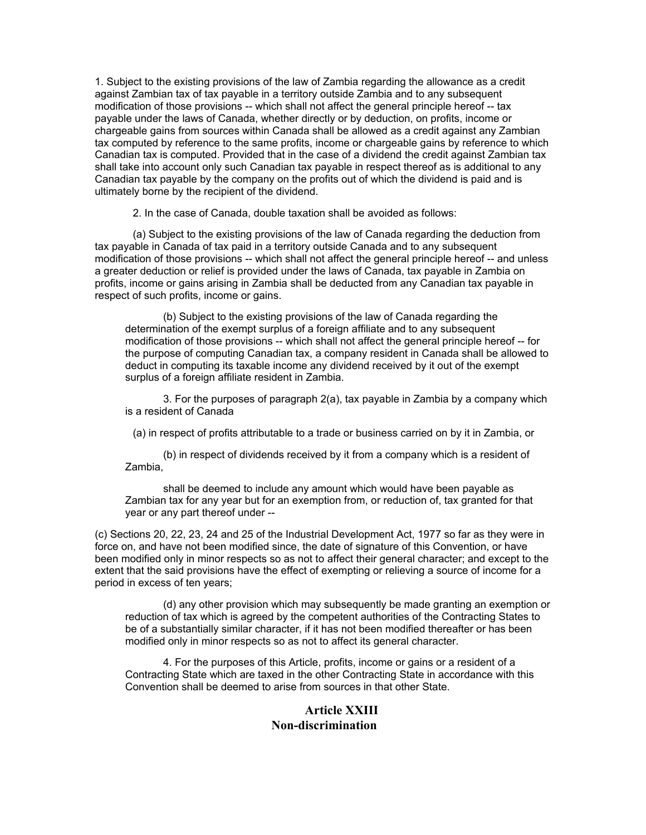1. Subject to the existing provisions of the law of Zambia regarding the allowance as a credit against Zambian tax of tax payable in a territory outside Zambia and to any subsequent modification of those provisions -- which shall not affect the general principle hereof -- tax payable under the laws of Canada, whether directly or by deduction, on profits, income or chargeable gains from sources within Canada shall be allowed as a credit against any Zambian tax computed by reference to the same profits, income or chargeable gains by reference to which Canadian tax is computed. Provided that in the case of a dividend the credit against Zambian tax shall take into account only such Canadian tax payable in respect thereof as is additional to any Canadian tax payable by the company on the profits out of which the dividend is paid and is ultimately borne by the recipient of the dividend.

2. In the case of Canada, double taxation shall be avoided as follows:

(a) Subject to the existing provisions of the law of Canada regarding the deduction from tax payable in Canada of tax paid in a territory outside Canada and to any subsequent modification of those provisions -- which shall not affect the general principle hereof -- and unless a greater deduction or relief is provided under the laws of Canada, tax payable in Zambia on profits, income or gains arising in Zambia shall be deducted from any Canadian tax payable in respect of such profits, income or gains.

(b) Subject to the existing provisions of the law of Canada regarding the determination of the exempt surplus of a foreign affiliate and to any subsequent modification of those provisions -- which shall not affect the general principle hereof -- for the purpose of computing Canadian tax, a company resident in Canada shall be allowed to deduct in computing its taxable income any dividend received by it out of the exempt surplus of a foreign affiliate resident in Zambia.

3. For the purposes of paragraph 2(a), tax payable in Zambia by a company which is a resident of Canada

(a) in respect of profits attributable to a trade or business carried on by it in Zambia, or

(b) in respect of dividends received by it from a company which is a resident of Zambia,

shall be deemed to include any amount which would have been payable as Zambian tax for any year but for an exemption from, or reduction of, tax granted for that year or any part thereof under --

(c) Sections 20, 22, 23, 24 and 25 of the Industrial Development Act, 1977 so far as they were in force on, and have not been modified since, the date of signature of this Convention, or have been modified only in minor respects so as not to affect their general character; and except to the extent that the said provisions have the effect of exempting or relieving a source of income for a period in excess of ten years;

(d) any other provision which may subsequently be made granting an exemption or reduction of tax which is agreed by the competent authorities of the Contracting States to be of a substantially similar character, if it has not been modified thereafter or has been modified only in minor respects so as not to affect its general character.

4. For the purposes of this Article, profits, income or gains or a resident of a Contracting State which are taxed in the other Contracting State in accordance with this Convention shall be deemed to arise from sources in that other State.

#### **Article XXIII Non-discrimination**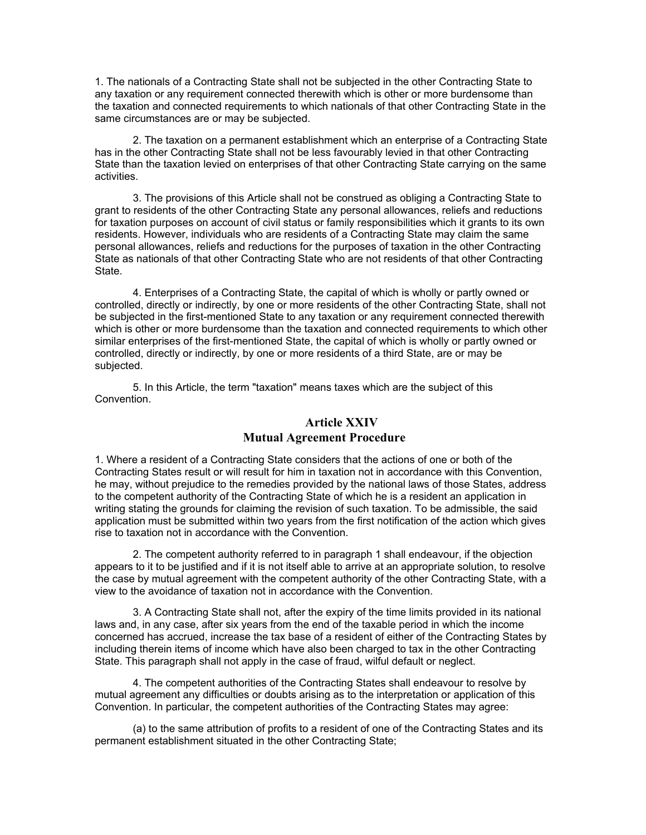1. The nationals of a Contracting State shall not be subjected in the other Contracting State to any taxation or any requirement connected therewith which is other or more burdensome than the taxation and connected requirements to which nationals of that other Contracting State in the same circumstances are or may be subjected.

2. The taxation on a permanent establishment which an enterprise of a Contracting State has in the other Contracting State shall not be less favourably levied in that other Contracting State than the taxation levied on enterprises of that other Contracting State carrying on the same activities.

3. The provisions of this Article shall not be construed as obliging a Contracting State to grant to residents of the other Contracting State any personal allowances, reliefs and reductions for taxation purposes on account of civil status or family responsibilities which it grants to its own residents. However, individuals who are residents of a Contracting State may claim the same personal allowances, reliefs and reductions for the purposes of taxation in the other Contracting State as nationals of that other Contracting State who are not residents of that other Contracting State.

4. Enterprises of a Contracting State, the capital of which is wholly or partly owned or controlled, directly or indirectly, by one or more residents of the other Contracting State, shall not be subjected in the first-mentioned State to any taxation or any requirement connected therewith which is other or more burdensome than the taxation and connected requirements to which other similar enterprises of the first-mentioned State, the capital of which is wholly or partly owned or controlled, directly or indirectly, by one or more residents of a third State, are or may be subjected.

5. In this Article, the term "taxation" means taxes which are the subject of this Convention.

# **Article XXIV**

#### **Mutual Agreement Procedure**

1. Where a resident of a Contracting State considers that the actions of one or both of the Contracting States result or will result for him in taxation not in accordance with this Convention, he may, without prejudice to the remedies provided by the national laws of those States, address to the competent authority of the Contracting State of which he is a resident an application in writing stating the grounds for claiming the revision of such taxation. To be admissible, the said application must be submitted within two years from the first notification of the action which gives rise to taxation not in accordance with the Convention.

2. The competent authority referred to in paragraph 1 shall endeavour, if the objection appears to it to be justified and if it is not itself able to arrive at an appropriate solution, to resolve the case by mutual agreement with the competent authority of the other Contracting State, with a view to the avoidance of taxation not in accordance with the Convention.

3. A Contracting State shall not, after the expiry of the time limits provided in its national laws and, in any case, after six years from the end of the taxable period in which the income concerned has accrued, increase the tax base of a resident of either of the Contracting States by including therein items of income which have also been charged to tax in the other Contracting State. This paragraph shall not apply in the case of fraud, wilful default or neglect.

4. The competent authorities of the Contracting States shall endeavour to resolve by mutual agreement any difficulties or doubts arising as to the interpretation or application of this Convention. In particular, the competent authorities of the Contracting States may agree:

(a) to the same attribution of profits to a resident of one of the Contracting States and its permanent establishment situated in the other Contracting State;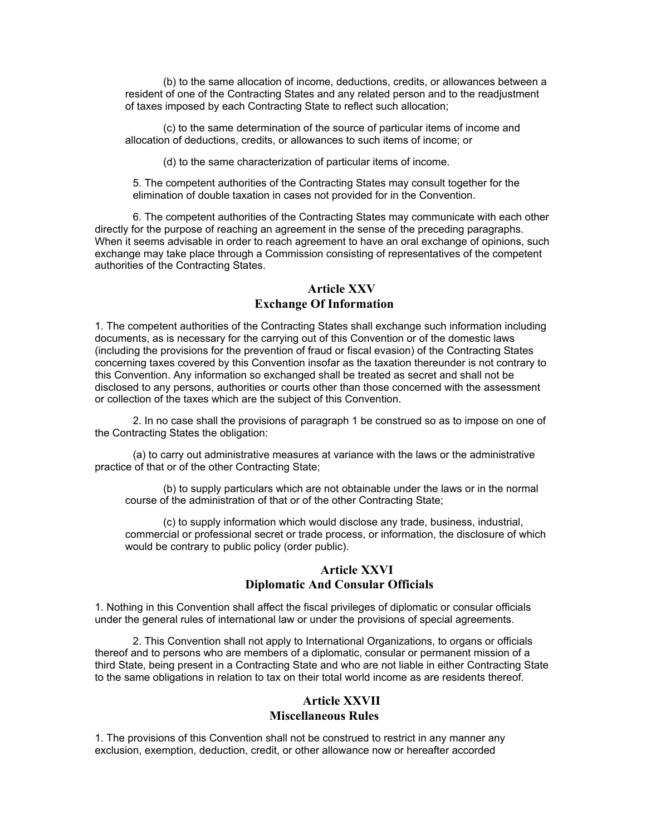(b) to the same allocation of income, deductions, credits, or allowances between a resident of one of the Contracting States and any related person and to the readjustment of taxes imposed by each Contracting State to reflect such allocation;

(c) to the same determination of the source of particular items of income and allocation of deductions, credits, or allowances to such items of income; or

(d) to the same characterization of particular items of income.

5. The competent authorities of the Contracting States may consult together for the elimination of double taxation in cases not provided for in the Convention.

6. The competent authorities of the Contracting States may communicate with each other directly for the purpose of reaching an agreement in the sense of the preceding paragraphs. When it seems advisable in order to reach agreement to have an oral exchange of opinions, such exchange may take place through a Commission consisting of representatives of the competent authorities of the Contracting States.

# **Article XXV Exchange Of Information**

1. The competent authorities of the Contracting States shall exchange such information including documents, as is necessary for the carrying out of this Convention or of the domestic laws (including the provisions for the prevention of fraud or fiscal evasion) of the Contracting States concerning taxes covered by this Convention insofar as the taxation thereunder is not contrary to this Convention. Any information so exchanged shall be treated as secret and shall not be disclosed to any persons, authorities or courts other than those concerned with the assessment or collection of the taxes which are the subject of this Convention.

2. In no case shall the provisions of paragraph 1 be construed so as to impose on one of the Contracting States the obligation:

(a) to carry out administrative measures at variance with the laws or the administrative practice of that or of the other Contracting State;

(b) to supply particulars which are not obtainable under the laws or in the normal course of the administration of that or of the other Contracting State;

(c) to supply information which would disclose any trade, business, industrial, commercial or professional secret or trade process, or information, the disclosure of which would be contrary to public policy (order public).

#### **Article XXVI Diplomatic And Consular Officials**

1. Nothing in this Convention shall affect the fiscal privileges of diplomatic or consular officials under the general rules of international law or under the provisions of special agreements.

2. This Convention shall not apply to International Organizations, to organs or officials thereof and to persons who are members of a diplomatic, consular or permanent mission of a third State, being present in a Contracting State and who are not liable in either Contracting State to the same obligations in relation to tax on their total world income as are residents thereof.

#### **Article XXVII Miscellaneous Rules**

1. The provisions of this Convention shall not be construed to restrict in any manner any exclusion, exemption, deduction, credit, or other allowance now or hereafter accorded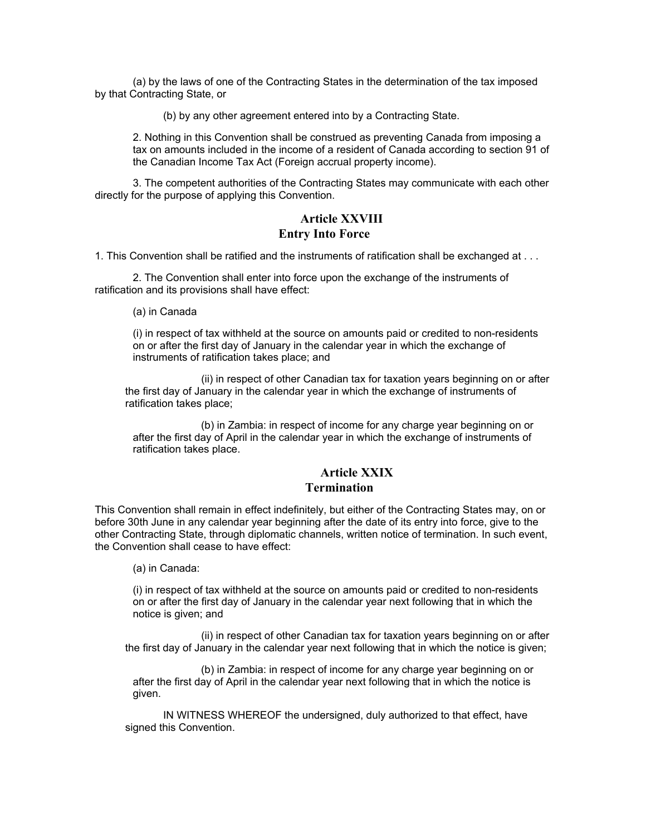(a) by the laws of one of the Contracting States in the determination of the tax imposed by that Contracting State, or

(b) by any other agreement entered into by a Contracting State.

2. Nothing in this Convention shall be construed as preventing Canada from imposing a tax on amounts included in the income of a resident of Canada according to section 91 of the Canadian Income Tax Act (Foreign accrual property income).

3. The competent authorities of the Contracting States may communicate with each other directly for the purpose of applying this Convention.

#### **Article XXVIII Entry Into Force**

1. This Convention shall be ratified and the instruments of ratification shall be exchanged at . . .

2. The Convention shall enter into force upon the exchange of the instruments of ratification and its provisions shall have effect:

(a) in Canada

(i) in respect of tax withheld at the source on amounts paid or credited to non-residents on or after the first day of January in the calendar year in which the exchange of instruments of ratification takes place; and

(ii) in respect of other Canadian tax for taxation years beginning on or after the first day of January in the calendar year in which the exchange of instruments of ratification takes place;

(b) in Zambia: in respect of income for any charge year beginning on or after the first day of April in the calendar year in which the exchange of instruments of ratification takes place.

#### **Article XXIX Termination**

This Convention shall remain in effect indefinitely, but either of the Contracting States may, on or before 30th June in any calendar year beginning after the date of its entry into force, give to the other Contracting State, through diplomatic channels, written notice of termination. In such event, the Convention shall cease to have effect:

(a) in Canada:

(i) in respect of tax withheld at the source on amounts paid or credited to non-residents on or after the first day of January in the calendar year next following that in which the notice is given; and

(ii) in respect of other Canadian tax for taxation years beginning on or after the first day of January in the calendar year next following that in which the notice is given;

(b) in Zambia: in respect of income for any charge year beginning on or after the first day of April in the calendar year next following that in which the notice is given.

IN WITNESS WHEREOF the undersigned, duly authorized to that effect, have signed this Convention.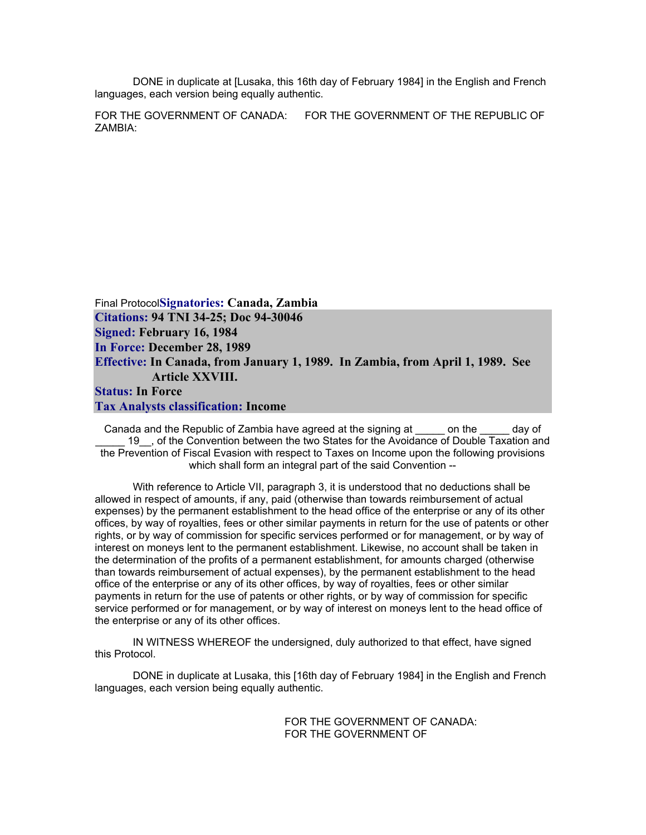DONE in duplicate at [Lusaka, this 16th day of February 1984] in the English and French languages, each version being equally authentic.

FOR THE GOVERNMENT OF CANADA: FOR THE GOVERNMENT OF THE REPUBLIC OF ZAMBIA:

Final Protocol**Signatories: Canada, Zambia Citations: 94 TNI 34-25; Doc 94-30046 Signed: February 16, 1984 In Force: December 28, 1989 Effective: In Canada, from January 1, 1989. In Zambia, from April 1, 1989. See Article XXVIII. Status: In Force Tax Analysts classification: Income** 

Canada and the Republic of Zambia have agreed at the signing at \_\_\_\_\_ on the \_\_\_\_\_ day of 19 , of the Convention between the two States for the Avoidance of Double Taxation and the Prevention of Fiscal Evasion with respect to Taxes on Income upon the following provisions which shall form an integral part of the said Convention --

With reference to Article VII, paragraph 3, it is understood that no deductions shall be allowed in respect of amounts, if any, paid (otherwise than towards reimbursement of actual expenses) by the permanent establishment to the head office of the enterprise or any of its other offices, by way of royalties, fees or other similar payments in return for the use of patents or other rights, or by way of commission for specific services performed or for management, or by way of interest on moneys lent to the permanent establishment. Likewise, no account shall be taken in the determination of the profits of a permanent establishment, for amounts charged (otherwise than towards reimbursement of actual expenses), by the permanent establishment to the head office of the enterprise or any of its other offices, by way of royalties, fees or other similar payments in return for the use of patents or other rights, or by way of commission for specific service performed or for management, or by way of interest on moneys lent to the head office of the enterprise or any of its other offices.

IN WITNESS WHEREOF the undersigned, duly authorized to that effect, have signed this Protocol.

DONE in duplicate at Lusaka, this [16th day of February 1984] in the English and French languages, each version being equally authentic.

> FOR THE GOVERNMENT OF CANADA: FOR THE GOVERNMENT OF